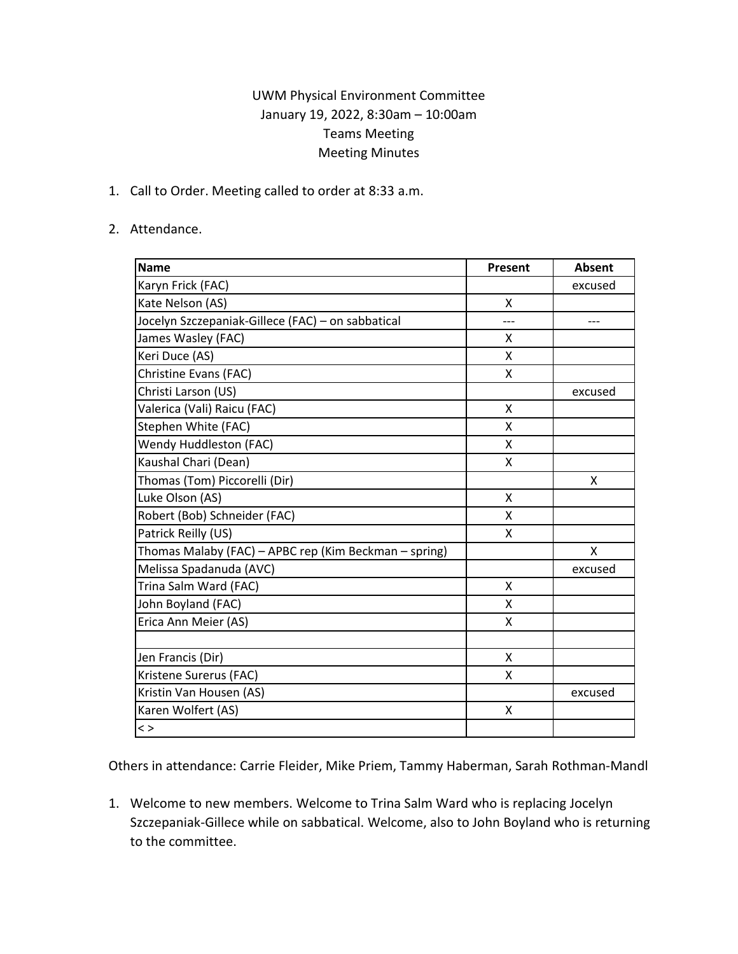## UWM Physical Environment Committee January 19, 2022, 8:30am – 10:00am Teams Meeting Meeting Minutes

1. Call to Order. Meeting called to order at 8:33 a.m.

## 2. Attendance.

| <b>Name</b>                                           | Present | Absent  |
|-------------------------------------------------------|---------|---------|
| Karyn Frick (FAC)                                     |         | excused |
| Kate Nelson (AS)                                      | X       |         |
| Jocelyn Szczepaniak-Gillece (FAC) - on sabbatical     | ---     | ---     |
| James Wasley (FAC)                                    | X       |         |
| Keri Duce (AS)                                        | X       |         |
| Christine Evans (FAC)                                 | X       |         |
| Christi Larson (US)                                   |         | excused |
| Valerica (Vali) Raicu (FAC)                           | X       |         |
| Stephen White (FAC)                                   | X       |         |
| Wendy Huddleston (FAC)                                | X       |         |
| Kaushal Chari (Dean)                                  | X       |         |
| Thomas (Tom) Piccorelli (Dir)                         |         | X       |
| Luke Olson (AS)                                       | Χ       |         |
| Robert (Bob) Schneider (FAC)                          | X       |         |
| Patrick Reilly (US)                                   | X       |         |
| Thomas Malaby (FAC) - APBC rep (Kim Beckman - spring) |         | Χ       |
| Melissa Spadanuda (AVC)                               |         | excused |
| Trina Salm Ward (FAC)                                 | X       |         |
| John Boyland (FAC)                                    | X       |         |
| Erica Ann Meier (AS)                                  | X       |         |
| Jen Francis (Dir)                                     | X       |         |
| Kristene Surerus (FAC)                                | X       |         |
| Kristin Van Housen (AS)                               |         | excused |
| Karen Wolfert (AS)                                    | Χ       |         |
| $\lt$                                                 |         |         |

Others in attendance: Carrie Fleider, Mike Priem, Tammy Haberman, Sarah Rothman-Mandl

1. Welcome to new members. Welcome to Trina Salm Ward who is replacing Jocelyn Szczepaniak-Gillece while on sabbatical. Welcome, also to John Boyland who is returning to the committee.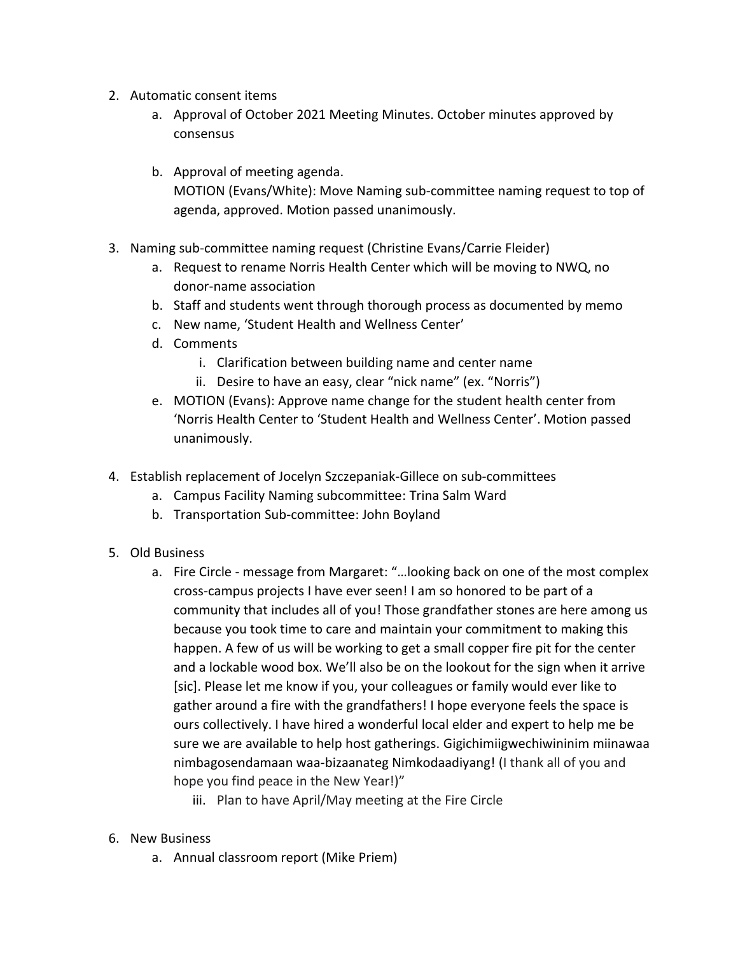- 2. Automatic consent items
	- a. Approval of October 2021 Meeting Minutes. October minutes approved by consensus
	- b. Approval of meeting agenda. MOTION (Evans/White): Move Naming sub-committee naming request to top of agenda, approved. Motion passed unanimously.
- 3. Naming sub-committee naming request (Christine Evans/Carrie Fleider)
	- a. Request to rename Norris Health Center which will be moving to NWQ, no donor-name association
	- b. Staff and students went through thorough process as documented by memo
	- c. New name, 'Student Health and Wellness Center'
	- d. Comments
		- i. Clarification between building name and center name
		- ii. Desire to have an easy, clear "nick name" (ex. "Norris")
	- e. MOTION (Evans): Approve name change for the student health center from 'Norris Health Center to 'Student Health and Wellness Center'. Motion passed unanimously.
- 4. Establish replacement of Jocelyn Szczepaniak-Gillece on sub-committees
	- a. Campus Facility Naming subcommittee: Trina Salm Ward
	- b. Transportation Sub-committee: John Boyland
- 5. Old Business
	- a. Fire Circle message from Margaret: "…looking back on one of the most complex cross-campus projects I have ever seen! I am so honored to be part of a community that includes all of you! Those grandfather stones are here among us because you took time to care and maintain your commitment to making this happen. A few of us will be working to get a small copper fire pit for the center and a lockable wood box. We'll also be on the lookout for the sign when it arrive [sic]. Please let me know if you, your colleagues or family would ever like to gather around a fire with the grandfathers! I hope everyone feels the space is ours collectively. I have hired a wonderful local elder and expert to help me be sure we are available to help host gatherings. Gigichimiigwechiwininim miinawaa nimbagosendamaan waa-bizaanateg Nimkodaadiyang! (I thank all of you and hope you find peace in the New Year!)"
		- iii. Plan to have April/May meeting at the Fire Circle
- 6. New Business
	- a. Annual classroom report (Mike Priem)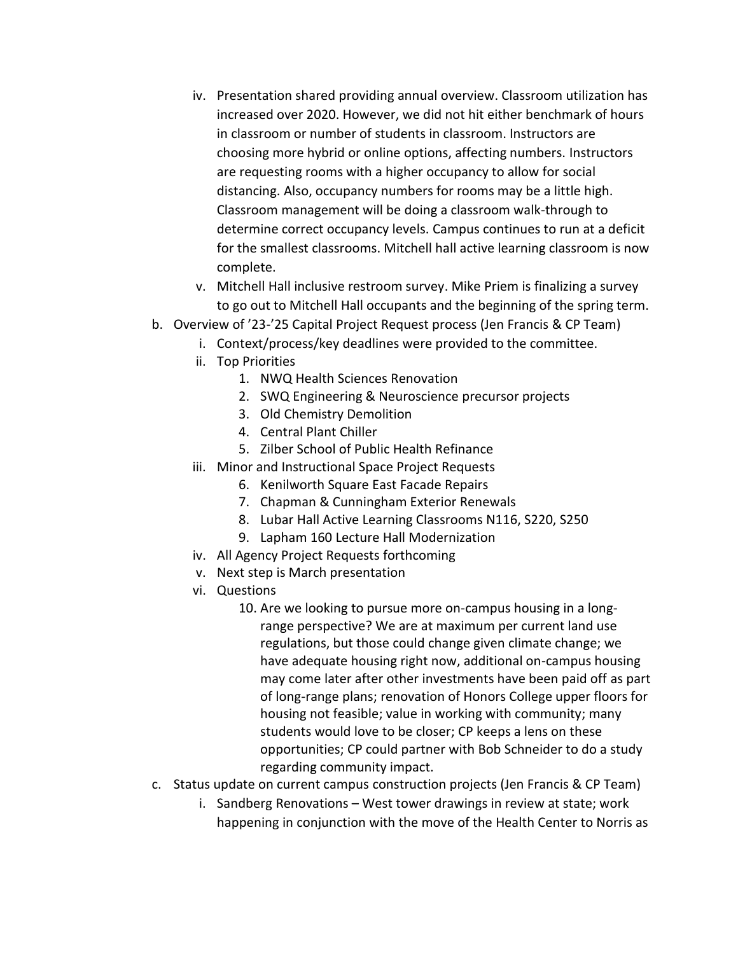- iv. Presentation shared providing annual overview. Classroom utilization has increased over 2020. However, we did not hit either benchmark of hours in classroom or number of students in classroom. Instructors are choosing more hybrid or online options, affecting numbers. Instructors are requesting rooms with a higher occupancy to allow for social distancing. Also, occupancy numbers for rooms may be a little high. Classroom management will be doing a classroom walk-through to determine correct occupancy levels. Campus continues to run at a deficit for the smallest classrooms. Mitchell hall active learning classroom is now complete.
- v. Mitchell Hall inclusive restroom survey. Mike Priem is finalizing a survey to go out to Mitchell Hall occupants and the beginning of the spring term.
- b. Overview of '23-'25 Capital Project Request process (Jen Francis & CP Team)
	- i. Context/process/key deadlines were provided to the committee.
	- ii. Top Priorities
		- 1. NWQ Health Sciences Renovation
		- 2. SWQ Engineering & Neuroscience precursor projects
		- 3. Old Chemistry Demolition
		- 4. Central Plant Chiller
		- 5. Zilber School of Public Health Refinance
	- iii. Minor and Instructional Space Project Requests
		- 6. Kenilworth Square East Facade Repairs
		- 7. Chapman & Cunningham Exterior Renewals
		- 8. Lubar Hall Active Learning Classrooms N116, S220, S250
		- 9. Lapham 160 Lecture Hall Modernization
	- iv. All Agency Project Requests forthcoming
	- v. Next step is March presentation
	- vi. Questions
		- 10. Are we looking to pursue more on-campus housing in a longrange perspective? We are at maximum per current land use regulations, but those could change given climate change; we have adequate housing right now, additional on-campus housing may come later after other investments have been paid off as part of long-range plans; renovation of Honors College upper floors for housing not feasible; value in working with community; many students would love to be closer; CP keeps a lens on these opportunities; CP could partner with Bob Schneider to do a study regarding community impact.
- c. Status update on current campus construction projects (Jen Francis & CP Team)
	- i. Sandberg Renovations West tower drawings in review at state; work happening in conjunction with the move of the Health Center to Norris as